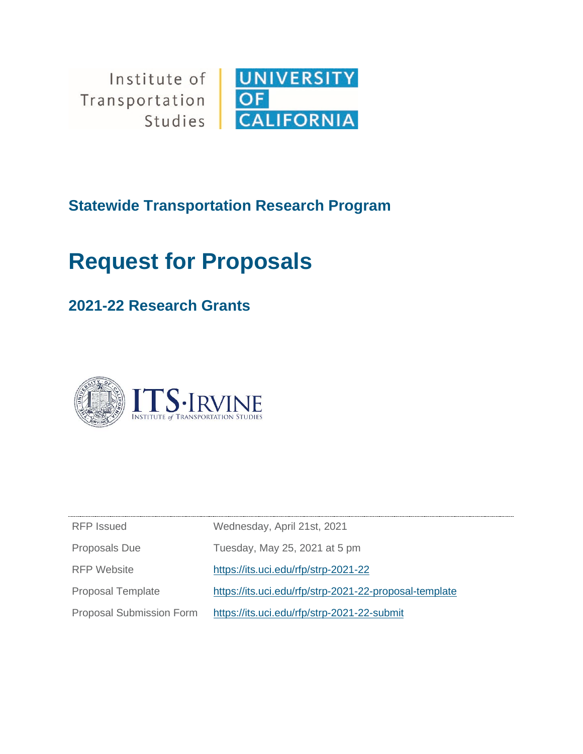Institute of  $\|$ Transportation Studies



**Statewide Transportation Research Program**

# **Request for Proposals**

# **2021-22 Research Grants**



| RFP Issued                      | Wednesday, April 21st, 2021                            |
|---------------------------------|--------------------------------------------------------|
| <b>Proposals Due</b>            | Tuesday, May 25, 2021 at 5 pm                          |
| RFP Website                     | https://its.uci.edu/rfp/strp-2021-22                   |
| <b>Proposal Template</b>        | https://its.uci.edu/rfp/strp-2021-22-proposal-template |
| <b>Proposal Submission Form</b> | https://its.uci.edu/rfp/strp-2021-22-submit            |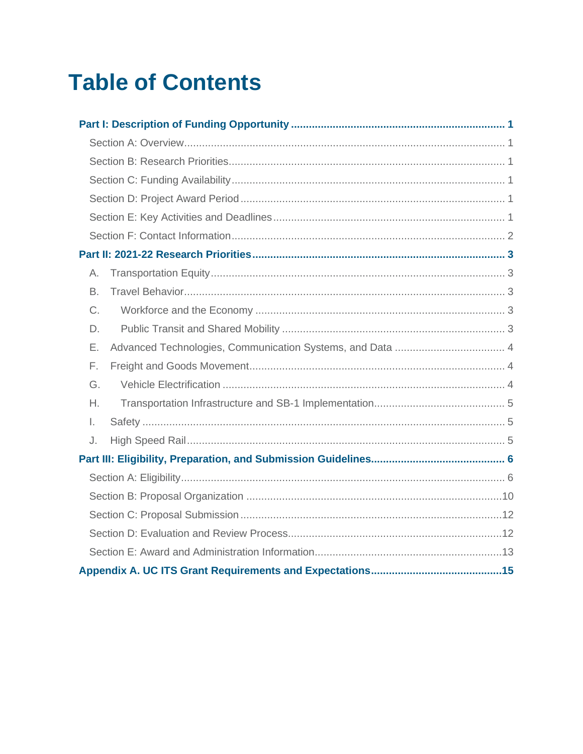# **Table of Contents**

| А. |  |
|----|--|
| B. |  |
| C. |  |
| D. |  |
| Е. |  |
| F. |  |
| G. |  |
| Η. |  |
| Ι. |  |
| J. |  |
|    |  |
|    |  |
|    |  |
|    |  |
|    |  |
|    |  |
|    |  |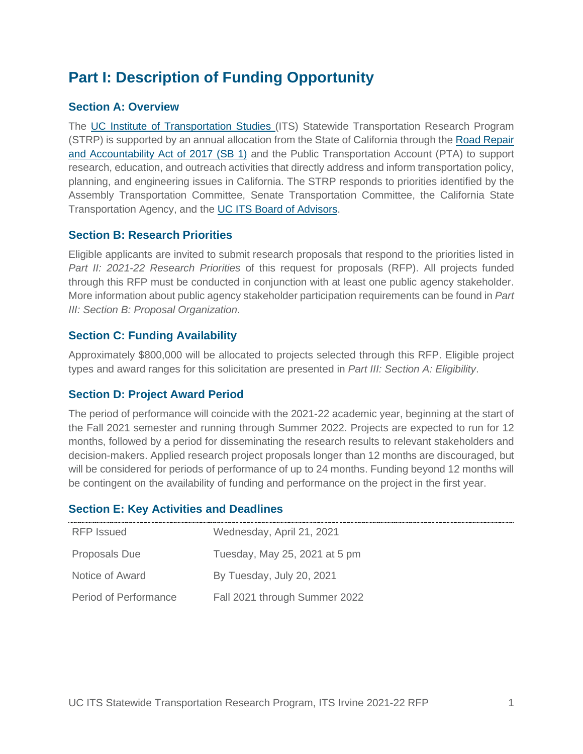# **Part I: Description of Funding Opportunity**

# **Section A: Overview**

The UC Institute of Transportation Studies (ITS) Statewide Transportation Research Program (STRP) is supported by an annual allocation from the State of California through the Road Repair and Accountability Act of 2017 (SB 1) and the Public Transportation Account (PTA) to support research, education, and outreach activities that directly address and inform transportation policy, planning, and engineering issues in California. The STRP responds to priorities identified by the Assembly Transportation Committee, Senate Transportation Committee, the California State Transportation Agency, and the UC ITS Board of Advisors.

# **Section B: Research Priorities**

Eligible applicants are invited to submit research proposals that respond to the priorities listed in *Part II: 2021-22 Research Priorities* of this request for proposals (RFP). All projects funded through this RFP must be conducted in conjunction with at least one public agency stakeholder. More information about public agency stakeholder participation requirements can be found in *Part III: Section B: Proposal Organization*.

# **Section C: Funding Availability**

Approximately \$800,000 will be allocated to projects selected through this RFP. Eligible project types and award ranges for this solicitation are presented in *Part III: Section A: Eligibility*.

# **Section D: Project Award Period**

The period of performance will coincide with the 2021-22 academic year, beginning at the start of the Fall 2021 semester and running through Summer 2022. Projects are expected to run for 12 months, followed by a period for disseminating the research results to relevant stakeholders and decision-makers. Applied research project proposals longer than 12 months are discouraged, but will be considered for periods of performance of up to 24 months. Funding beyond 12 months will be contingent on the availability of funding and performance on the project in the first year.

| RFP Issued            | Wednesday, April 21, 2021     |
|-----------------------|-------------------------------|
| <b>Proposals Due</b>  | Tuesday, May 25, 2021 at 5 pm |
| Notice of Award       | By Tuesday, July 20, 2021     |
| Period of Performance | Fall 2021 through Summer 2022 |

# **Section E: Key Activities and Deadlines**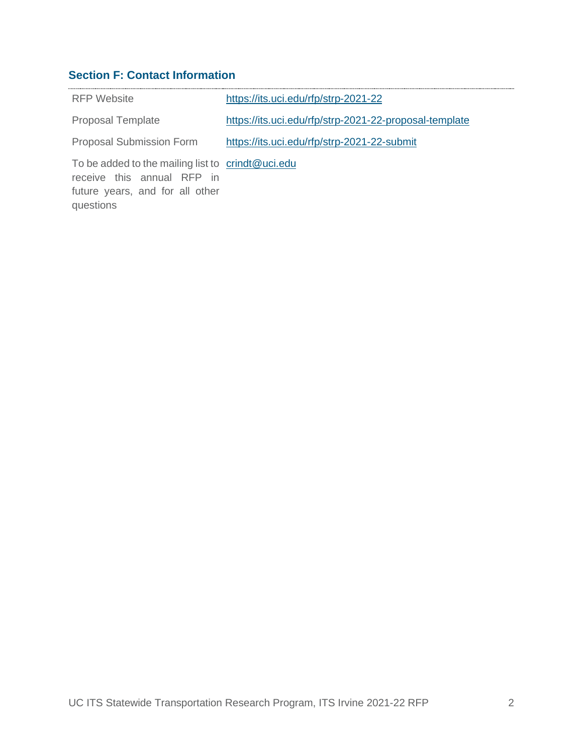# **Section F: Contact Information**

| RFP Website                                                                                                                             | https://its.uci.edu/rfp/strp-2021-22                   |
|-----------------------------------------------------------------------------------------------------------------------------------------|--------------------------------------------------------|
| <b>Proposal Template</b>                                                                                                                | https://its.uci.edu/rfp/strp-2021-22-proposal-template |
| <b>Proposal Submission Form</b>                                                                                                         | https://its.uci.edu/rfp/strp-2021-22-submit            |
| To be added to the mailing list to $\cdot$ crindt@uci.edu<br>receive this annual RFP in<br>future years, and for all other<br>questions |                                                        |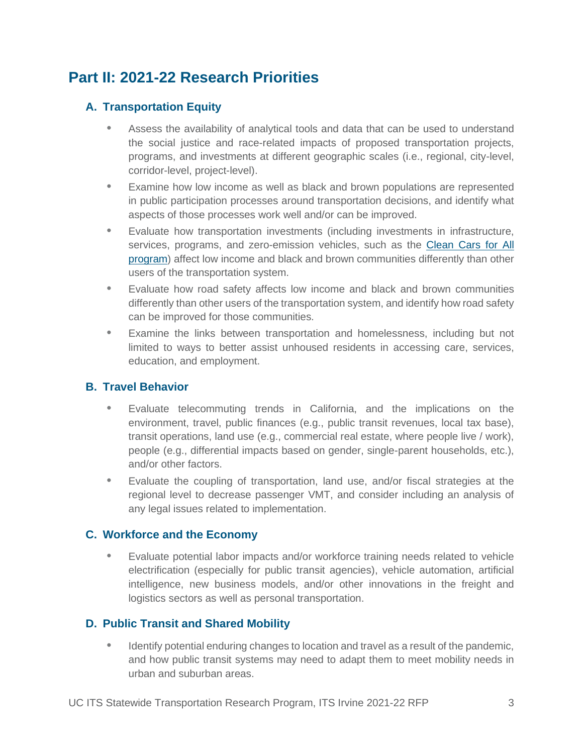# **Part II: 2021-22 Research Priorities**

# **A. Transportation Equity**

- Assess the availability of analytical tools and data that can be used to understand the social justice and race-related impacts of proposed transportation projects, programs, and investments at different geographic scales (i.e., regional, city-level, corridor-level, project-level).
- Examine how low income as well as black and brown populations are represented in public participation processes around transportation decisions, and identify what aspects of those processes work well and/or can be improved.
- Evaluate how transportation investments (including investments in infrastructure, services, programs, and zero-emission vehicles, such as the Clean Cars for All program) affect low income and black and brown communities differently than other users of the transportation system.
- Evaluate how road safety affects low income and black and brown communities differently than other users of the transportation system, and identify how road safety can be improved for those communities.
- Examine the links between transportation and homelessness, including but not limited to ways to better assist unhoused residents in accessing care, services, education, and employment.

# **B. Travel Behavior**

- Evaluate telecommuting trends in California, and the implications on the environment, travel, public finances (e.g., public transit revenues, local tax base), transit operations, land use (e.g., commercial real estate, where people live / work), people (e.g., differential impacts based on gender, single-parent households, etc.), and/or other factors.
- Evaluate the coupling of transportation, land use, and/or fiscal strategies at the regional level to decrease passenger VMT, and consider including an analysis of any legal issues related to implementation.

# **C. Workforce and the Economy**

• Evaluate potential labor impacts and/or workforce training needs related to vehicle electrification (especially for public transit agencies), vehicle automation, artificial intelligence, new business models, and/or other innovations in the freight and logistics sectors as well as personal transportation.

# **D. Public Transit and Shared Mobility**

• Identify potential enduring changes to location and travel as a result of the pandemic, and how public transit systems may need to adapt them to meet mobility needs in urban and suburban areas.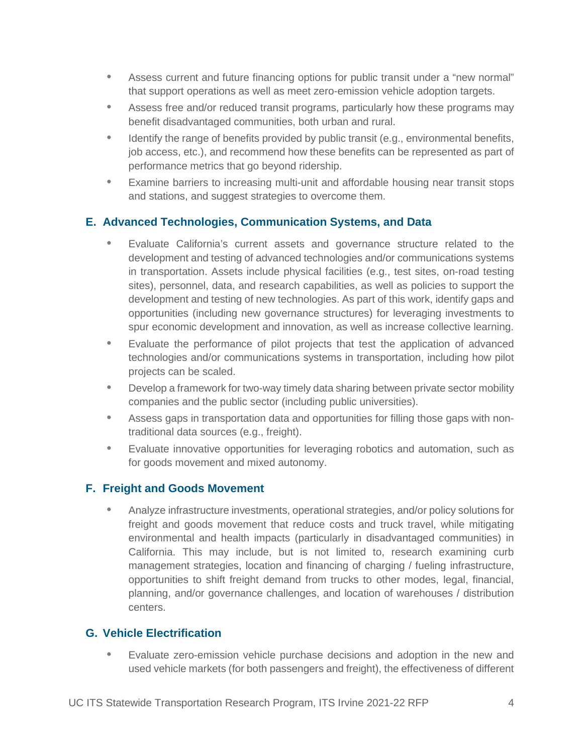- Assess current and future financing options for public transit under a "new normal" that support operations as well as meet zero-emission vehicle adoption targets.
- Assess free and/or reduced transit programs, particularly how these programs may benefit disadvantaged communities, both urban and rural.
- Identify the range of benefits provided by public transit (e.g., environmental benefits, job access, etc.), and recommend how these benefits can be represented as part of performance metrics that go beyond ridership.
- Examine barriers to increasing multi-unit and affordable housing near transit stops and stations, and suggest strategies to overcome them.

# **E. Advanced Technologies, Communication Systems, and Data**

- Evaluate California's current assets and governance structure related to the development and testing of advanced technologies and/or communications systems in transportation. Assets include physical facilities (e.g., test sites, on-road testing sites), personnel, data, and research capabilities, as well as policies to support the development and testing of new technologies. As part of this work, identify gaps and opportunities (including new governance structures) for leveraging investments to spur economic development and innovation, as well as increase collective learning.
- Evaluate the performance of pilot projects that test the application of advanced technologies and/or communications systems in transportation, including how pilot projects can be scaled.
- Develop a framework for two-way timely data sharing between private sector mobility companies and the public sector (including public universities).
- Assess gaps in transportation data and opportunities for filling those gaps with nontraditional data sources (e.g., freight).
- Evaluate innovative opportunities for leveraging robotics and automation, such as for goods movement and mixed autonomy.

# **F. Freight and Goods Movement**

• Analyze infrastructure investments, operational strategies, and/or policy solutions for freight and goods movement that reduce costs and truck travel, while mitigating environmental and health impacts (particularly in disadvantaged communities) in California. This may include, but is not limited to, research examining curb management strategies, location and financing of charging / fueling infrastructure, opportunities to shift freight demand from trucks to other modes, legal, financial, planning, and/or governance challenges, and location of warehouses / distribution centers.

# **G. Vehicle Electrification**

• Evaluate zero-emission vehicle purchase decisions and adoption in the new and used vehicle markets (for both passengers and freight), the effectiveness of different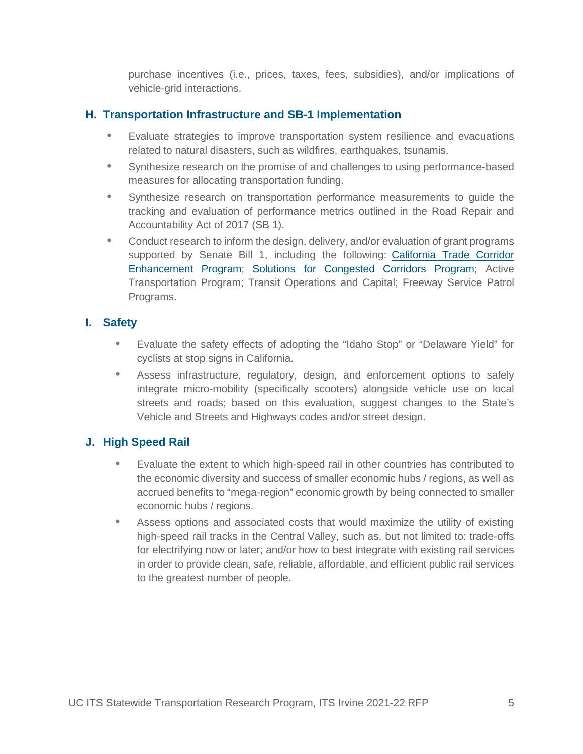purchase incentives (i.e., prices, taxes, fees, subsidies), and/or implications of vehicle-grid interactions.

# **H. Transportation Infrastructure and SB-1 Implementation**

- Evaluate strategies to improve transportation system resilience and evacuations related to natural disasters, such as wildfires, earthquakes, tsunamis.
- Synthesize research on the promise of and challenges to using performance-based measures for allocating transportation funding.
- Synthesize research on transportation performance measurements to guide the tracking and evaluation of performance metrics outlined in the Road Repair and Accountability Act of 2017 (SB 1).
- Conduct research to inform the design, delivery, and/or evaluation of grant programs supported by Senate Bill 1, including the following: California Trade Corridor Enhancement Program; Solutions for Congested Corridors Program; Active Transportation Program; Transit Operations and Capital; Freeway Service Patrol Programs.

# **I. Safety**

- Evaluate the safety effects of adopting the "Idaho Stop" or "Delaware Yield" for cyclists at stop signs in California.
- Assess infrastructure, regulatory, design, and enforcement options to safely integrate micro-mobility (specifically scooters) alongside vehicle use on local streets and roads; based on this evaluation, suggest changes to the State's Vehicle and Streets and Highways codes and/or street design.

# **J. High Speed Rail**

- Evaluate the extent to which high-speed rail in other countries has contributed to the economic diversity and success of smaller economic hubs / regions, as well as accrued benefits to "mega-region" economic growth by being connected to smaller economic hubs / regions.
- Assess options and associated costs that would maximize the utility of existing high-speed rail tracks in the Central Valley, such as, but not limited to: trade-offs for electrifying now or later; and/or how to best integrate with existing rail services in order to provide clean, safe, reliable, affordable, and efficient public rail services to the greatest number of people.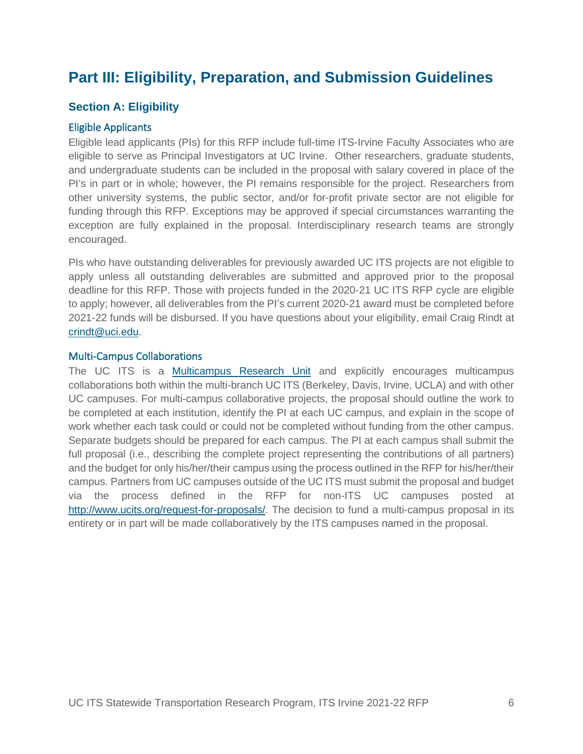# **Part III: Eligibility, Preparation, and Submission Guidelines**

### **Section A: Eligibility**

#### Eligible Applicants

Eligible lead applicants (PIs) for this RFP include full-time ITS-Irvine Faculty Associates who are eligible to serve as Principal Investigators at UC Irvine. Other researchers, graduate students, and undergraduate students can be included in the proposal with salary covered in place of the PI's in part or in whole; however, the PI remains responsible for the project. Researchers from other university systems, the public sector, and/or for-profit private sector are not eligible for funding through this RFP. Exceptions may be approved if special circumstances warranting the exception are fully explained in the proposal. Interdisciplinary research teams are strongly encouraged.

PIs who have outstanding deliverables for previously awarded UC ITS projects are not eligible to apply unless all outstanding deliverables are submitted and approved prior to the proposal deadline for this RFP. Those with projects funded in the 2020-21 UC ITS RFP cycle are eligible to apply; however, all deliverables from the PI's current 2020-21 award must be completed before 2021-22 funds will be disbursed. If you have questions about your eligibility, email Craig Rindt at crindt@uci.edu.

#### Multi-Campus Collaborations

The UC ITS is a Multicampus Research Unit and explicitly encourages multicampus collaborations both within the multi-branch UC ITS (Berkeley, Davis, Irvine, UCLA) and with other UC campuses. For multi-campus collaborative projects, the proposal should outline the work to be completed at each institution, identify the PI at each UC campus, and explain in the scope of work whether each task could or could not be completed without funding from the other campus. Separate budgets should be prepared for each campus. The PI at each campus shall submit the full proposal (i.e., describing the complete project representing the contributions of all partners) and the budget for only his/her/their campus using the process outlined in the RFP for his/her/their campus. Partners from UC campuses outside of the UC ITS must submit the proposal and budget via the process defined in the RFP for non-ITS UC campuses posted at http://www.ucits.org/request-for-proposals/. The decision to fund a multi-campus proposal in its entirety or in part will be made collaboratively by the ITS campuses named in the proposal.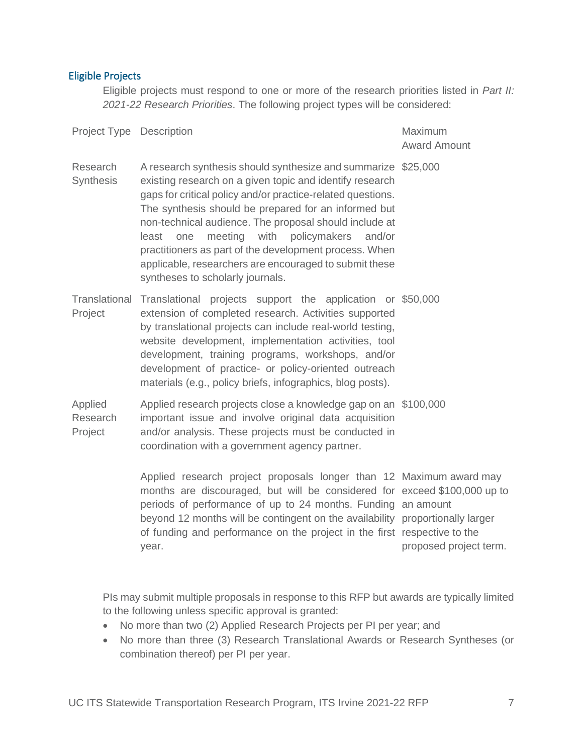# Eligible Projects

Eligible projects must respond to one or more of the research priorities listed in *Part II: 2021-22 Research Priorities*. The following project types will be considered:

| Project Type   Description     |                                                                                                                                                                                                                                                                                                                                                                                                                                                                                                                                 | Maximum<br><b>Award Amount</b> |
|--------------------------------|---------------------------------------------------------------------------------------------------------------------------------------------------------------------------------------------------------------------------------------------------------------------------------------------------------------------------------------------------------------------------------------------------------------------------------------------------------------------------------------------------------------------------------|--------------------------------|
| Research<br>Synthesis          | A research synthesis should synthesize and summarize \$25,000<br>existing research on a given topic and identify research<br>gaps for critical policy and/or practice-related questions.<br>The synthesis should be prepared for an informed but<br>non-technical audience. The proposal should include at<br>meeting<br>with<br>policymakers<br>least<br>and/or<br>one<br>practitioners as part of the development process. When<br>applicable, researchers are encouraged to submit these<br>syntheses to scholarly journals. |                                |
| Project                        | Translational Translational projects support the application or \$50,000<br>extension of completed research. Activities supported<br>by translational projects can include real-world testing,<br>website development, implementation activities, tool<br>development, training programs, workshops, and/or<br>development of practice- or policy-oriented outreach<br>materials (e.g., policy briefs, infographics, blog posts).                                                                                               |                                |
| Applied<br>Research<br>Project | Applied research projects close a knowledge gap on an \$100,000<br>important issue and involve original data acquisition<br>and/or analysis. These projects must be conducted in<br>coordination with a government agency partner.                                                                                                                                                                                                                                                                                              |                                |
|                                | Applied research project proposals longer than 12 Maximum award may<br>months are discouraged, but will be considered for exceed \$100,000 up to<br>periods of performance of up to 24 months. Funding an amount<br>beyond 12 months will be contingent on the availability proportionally larger<br>of funding and performance on the project in the first respective to the<br>year.                                                                                                                                          | proposed project term.         |

PIs may submit multiple proposals in response to this RFP but awards are typically limited to the following unless specific approval is granted:

- No more than two (2) Applied Research Projects per PI per year; and
- No more than three (3) Research Translational Awards or Research Syntheses (or combination thereof) per PI per year.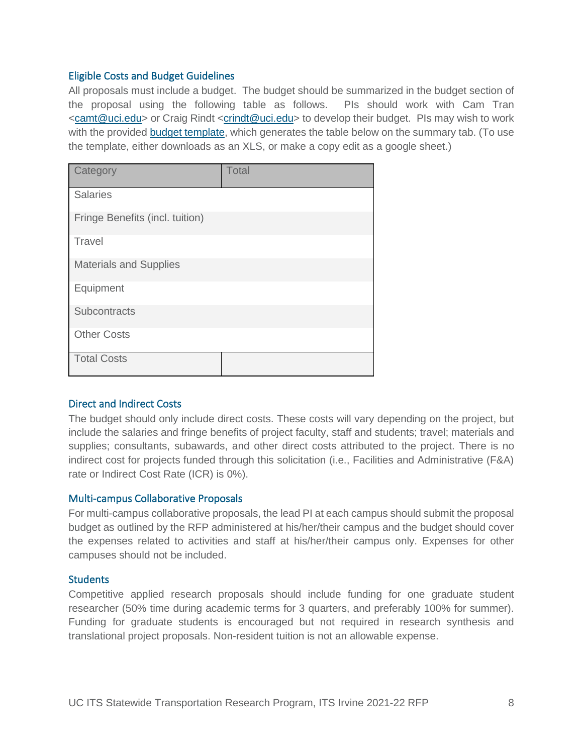#### Eligible Costs and Budget Guidelines

All proposals must include a budget. The budget should be summarized in the budget section of the proposal using the following table as follows. PIs should work with Cam Tran <camt@uci.edu> or Craig Rindt <crindt@uci.edu> to develop their budget. PIs may wish to work with the provided budget template, which generates the table below on the summary tab. (To use the template, either downloads as an XLS, or make a copy edit as a google sheet.)

| Category                        | Total |  |  |
|---------------------------------|-------|--|--|
| <b>Salaries</b>                 |       |  |  |
| Fringe Benefits (incl. tuition) |       |  |  |
| Travel                          |       |  |  |
| <b>Materials and Supplies</b>   |       |  |  |
| Equipment                       |       |  |  |
| Subcontracts                    |       |  |  |
| <b>Other Costs</b>              |       |  |  |
| <b>Total Costs</b>              |       |  |  |

#### Direct and Indirect Costs

The budget should only include direct costs. These costs will vary depending on the project, but include the salaries and fringe benefits of project faculty, staff and students; travel; materials and supplies; consultants, subawards, and other direct costs attributed to the project. There is no indirect cost for projects funded through this solicitation (i.e., Facilities and Administrative (F&A) rate or Indirect Cost Rate (ICR) is 0%).

#### Multi-campus Collaborative Proposals

For multi-campus collaborative proposals, the lead PI at each campus should submit the proposal budget as outlined by the RFP administered at his/her/their campus and the budget should cover the expenses related to activities and staff at his/her/their campus only. Expenses for other campuses should not be included.

#### **Students**

Competitive applied research proposals should include funding for one graduate student researcher (50% time during academic terms for 3 quarters, and preferably 100% for summer). Funding for graduate students is encouraged but not required in research synthesis and translational project proposals. Non-resident tuition is not an allowable expense.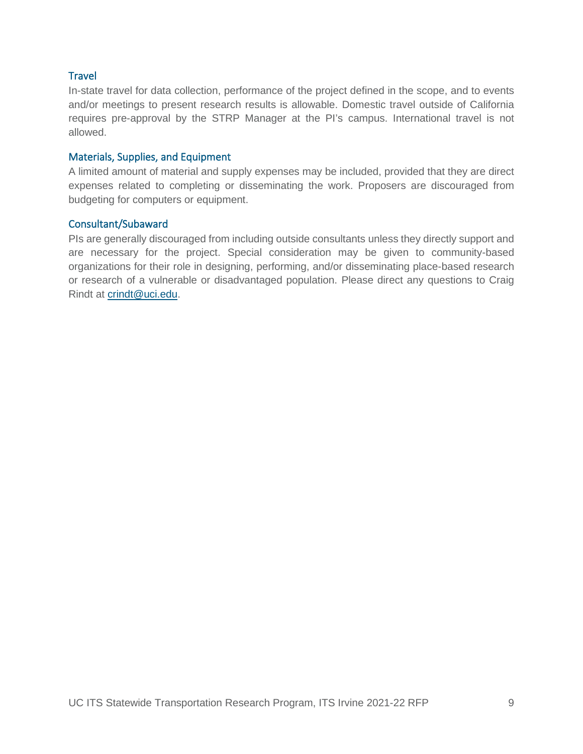#### **Travel**

In-state travel for data collection, performance of the project defined in the scope, and to events and/or meetings to present research results is allowable. Domestic travel outside of California requires pre-approval by the STRP Manager at the PI's campus. International travel is not allowed.

#### Materials, Supplies, and Equipment

A limited amount of material and supply expenses may be included, provided that they are direct expenses related to completing or disseminating the work. Proposers are discouraged from budgeting for computers or equipment.

#### Consultant/Subaward

PIs are generally discouraged from including outside consultants unless they directly support and are necessary for the project. Special consideration may be given to community-based organizations for their role in designing, performing, and/or disseminating place-based research or research of a vulnerable or disadvantaged population. Please direct any questions to Craig Rindt at crindt@uci.edu.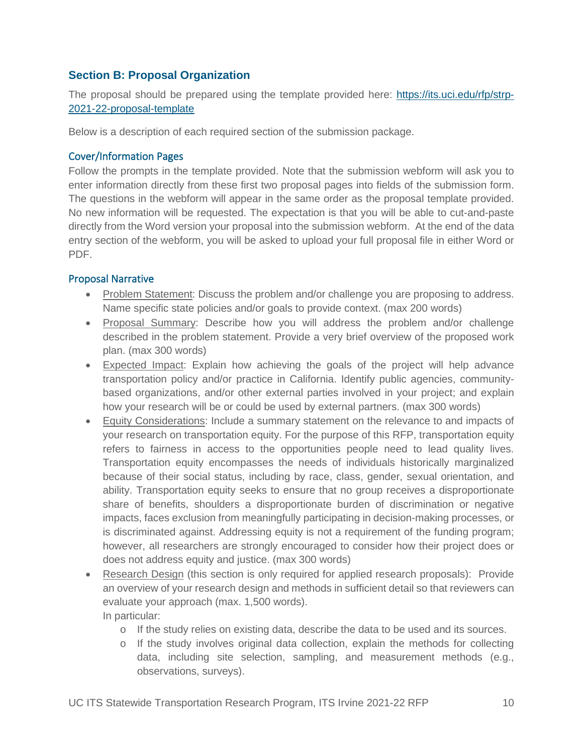# **Section B: Proposal Organization**

The proposal should be prepared using the template provided here: https://its.uci.edu/rfp/strp-2021-22-proposal-template

Below is a description of each required section of the submission package.

#### Cover/Information Pages

Follow the prompts in the template provided. Note that the submission webform will ask you to enter information directly from these first two proposal pages into fields of the submission form. The questions in the webform will appear in the same order as the proposal template provided. No new information will be requested. The expectation is that you will be able to cut-and-paste directly from the Word version your proposal into the submission webform. At the end of the data entry section of the webform, you will be asked to upload your full proposal file in either Word or PDF.

#### Proposal Narrative

- Problem Statement: Discuss the problem and/or challenge you are proposing to address. Name specific state policies and/or goals to provide context. (max 200 words)
- Proposal Summary: Describe how you will address the problem and/or challenge described in the problem statement. Provide a very brief overview of the proposed work plan. (max 300 words)
- Expected Impact: Explain how achieving the goals of the project will help advance transportation policy and/or practice in California. Identify public agencies, communitybased organizations, and/or other external parties involved in your project; and explain how your research will be or could be used by external partners. (max 300 words)
- Equity Considerations: Include a summary statement on the relevance to and impacts of your research on transportation equity. For the purpose of this RFP, transportation equity refers to fairness in access to the opportunities people need to lead quality lives. Transportation equity encompasses the needs of individuals historically marginalized because of their social status, including by race, class, gender, sexual orientation, and ability. Transportation equity seeks to ensure that no group receives a disproportionate share of benefits, shoulders a disproportionate burden of discrimination or negative impacts, faces exclusion from meaningfully participating in decision-making processes, or is discriminated against. Addressing equity is not a requirement of the funding program; however, all researchers are strongly encouraged to consider how their project does or does not address equity and justice. (max 300 words)
- Research Design (this section is only required for applied research proposals): Provide an overview of your research design and methods in sufficient detail so that reviewers can evaluate your approach (max. 1,500 words). In particular:
	- o If the study relies on existing data, describe the data to be used and its sources.
	- o If the study involves original data collection, explain the methods for collecting data, including site selection, sampling, and measurement methods (e.g., observations, surveys).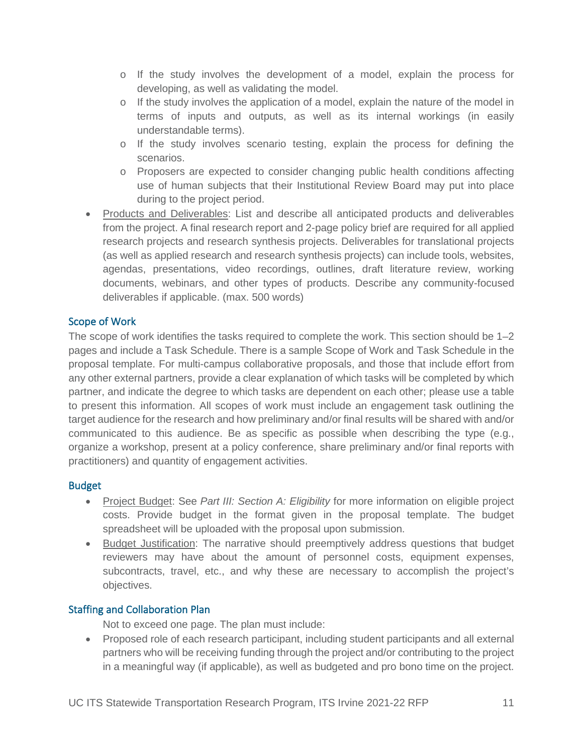- o If the study involves the development of a model, explain the process for developing, as well as validating the model.
- $\circ$  If the study involves the application of a model, explain the nature of the model in terms of inputs and outputs, as well as its internal workings (in easily understandable terms).
- o If the study involves scenario testing, explain the process for defining the scenarios.
- o Proposers are expected to consider changing public health conditions affecting use of human subjects that their Institutional Review Board may put into place during to the project period.
- Products and Deliverables: List and describe all anticipated products and deliverables from the project. A final research report and 2-page policy brief are required for all applied research projects and research synthesis projects. Deliverables for translational projects (as well as applied research and research synthesis projects) can include tools, websites, agendas, presentations, video recordings, outlines, draft literature review, working documents, webinars, and other types of products. Describe any community-focused deliverables if applicable. (max. 500 words)

# Scope of Work

The scope of work identifies the tasks required to complete the work. This section should be 1–2 pages and include a Task Schedule. There is a sample Scope of Work and Task Schedule in the proposal template. For multi-campus collaborative proposals, and those that include effort from any other external partners, provide a clear explanation of which tasks will be completed by which partner, and indicate the degree to which tasks are dependent on each other; please use a table to present this information. All scopes of work must include an engagement task outlining the target audience for the research and how preliminary and/or final results will be shared with and/or communicated to this audience. Be as specific as possible when describing the type (e.g., organize a workshop, present at a policy conference, share preliminary and/or final reports with practitioners) and quantity of engagement activities.

# Budget

- Project Budget: See *Part III: Section A: Eligibility* for more information on eligible project costs. Provide budget in the format given in the proposal template. The budget spreadsheet will be uploaded with the proposal upon submission.
- Budget Justification: The narrative should preemptively address questions that budget reviewers may have about the amount of personnel costs, equipment expenses, subcontracts, travel, etc., and why these are necessary to accomplish the project's objectives.

# Staffing and Collaboration Plan

Not to exceed one page. The plan must include:

• Proposed role of each research participant, including student participants and all external partners who will be receiving funding through the project and/or contributing to the project in a meaningful way (if applicable), as well as budgeted and pro bono time on the project.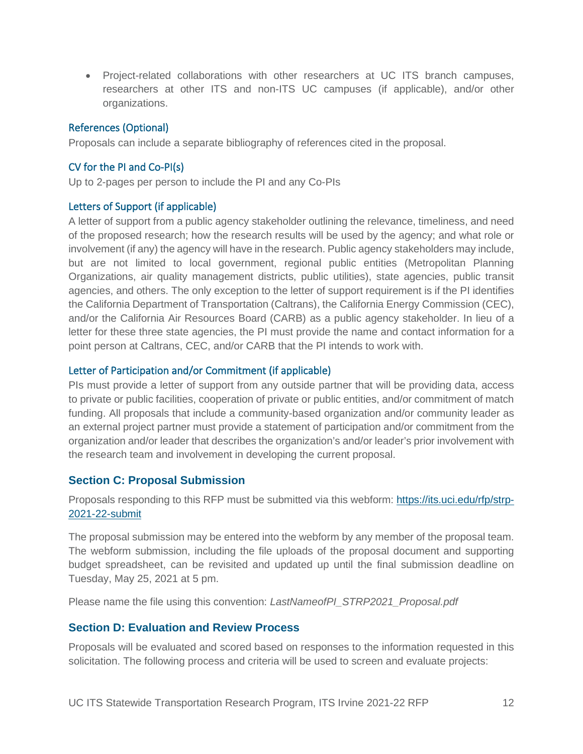• Project-related collaborations with other researchers at UC ITS branch campuses, researchers at other ITS and non-ITS UC campuses (if applicable), and/or other organizations.

#### References (Optional)

Proposals can include a separate bibliography of references cited in the proposal.

#### CV for the PI and Co-PI(s)

Up to 2-pages per person to include the PI and any Co-PIs

#### Letters of Support (if applicable)

A letter of support from a public agency stakeholder outlining the relevance, timeliness, and need of the proposed research; how the research results will be used by the agency; and what role or involvement (if any) the agency will have in the research. Public agency stakeholders may include, but are not limited to local government, regional public entities (Metropolitan Planning Organizations, air quality management districts, public utilities), state agencies, public transit agencies, and others. The only exception to the letter of support requirement is if the PI identifies the California Department of Transportation (Caltrans), the California Energy Commission (CEC), and/or the California Air Resources Board (CARB) as a public agency stakeholder. In lieu of a letter for these three state agencies, the PI must provide the name and contact information for a point person at Caltrans, CEC, and/or CARB that the PI intends to work with.

#### Letter of Participation and/or Commitment (if applicable)

PIs must provide a letter of support from any outside partner that will be providing data, access to private or public facilities, cooperation of private or public entities, and/or commitment of match funding. All proposals that include a community-based organization and/or community leader as an external project partner must provide a statement of participation and/or commitment from the organization and/or leader that describes the organization's and/or leader's prior involvement with the research team and involvement in developing the current proposal.

# **Section C: Proposal Submission**

Proposals responding to this RFP must be submitted via this webform: https://its.uci.edu/rfp/strp-2021-22-submit

The proposal submission may be entered into the webform by any member of the proposal team. The webform submission, including the file uploads of the proposal document and supporting budget spreadsheet, can be revisited and updated up until the final submission deadline on Tuesday, May 25, 2021 at 5 pm.

Please name the file using this convention: *LastNameofPI\_STRP2021\_Proposal.pdf*

#### **Section D: Evaluation and Review Process**

Proposals will be evaluated and scored based on responses to the information requested in this solicitation. The following process and criteria will be used to screen and evaluate projects: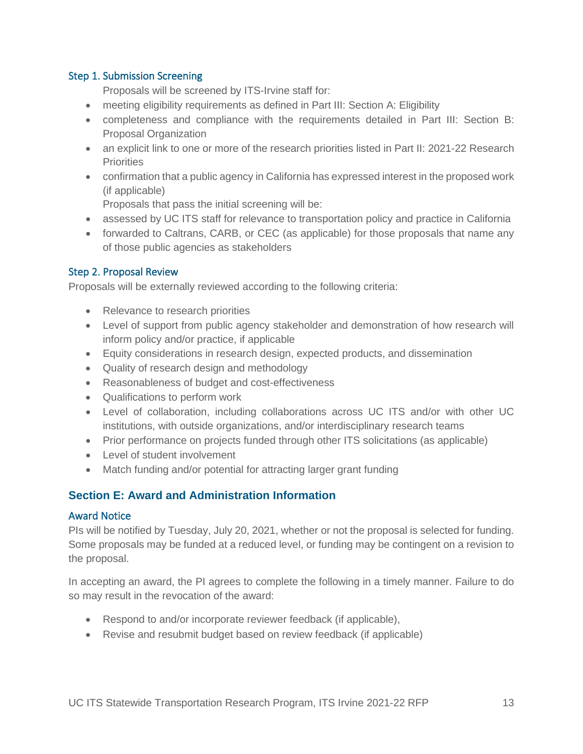#### Step 1. Submission Screening

Proposals will be screened by ITS-Irvine staff for:

- meeting eligibility requirements as defined in Part III: Section A: Eligibility
- completeness and compliance with the requirements detailed in Part III: Section B: Proposal Organization
- an explicit link to one or more of the research priorities listed in Part II: 2021-22 Research **Priorities**
- confirmation that a public agency in California has expressed interest in the proposed work (if applicable)

Proposals that pass the initial screening will be:

- assessed by UC ITS staff for relevance to transportation policy and practice in California
- forwarded to Caltrans, CARB, or CEC (as applicable) for those proposals that name any of those public agencies as stakeholders

#### Step 2. Proposal Review

Proposals will be externally reviewed according to the following criteria:

- Relevance to research priorities
- Level of support from public agency stakeholder and demonstration of how research will inform policy and/or practice, if applicable
- Equity considerations in research design, expected products, and dissemination
- Quality of research design and methodology
- Reasonableness of budget and cost-effectiveness
- Qualifications to perform work
- Level of collaboration, including collaborations across UC ITS and/or with other UC institutions, with outside organizations, and/or interdisciplinary research teams
- Prior performance on projects funded through other ITS solicitations (as applicable)
- Level of student involvement
- Match funding and/or potential for attracting larger grant funding

# **Section E: Award and Administration Information**

#### Award Notice

PIs will be notified by Tuesday, July 20, 2021, whether or not the proposal is selected for funding. Some proposals may be funded at a reduced level, or funding may be contingent on a revision to the proposal.

In accepting an award, the PI agrees to complete the following in a timely manner. Failure to do so may result in the revocation of the award:

- Respond to and/or incorporate reviewer feedback (if applicable),
- Revise and resubmit budget based on review feedback (if applicable)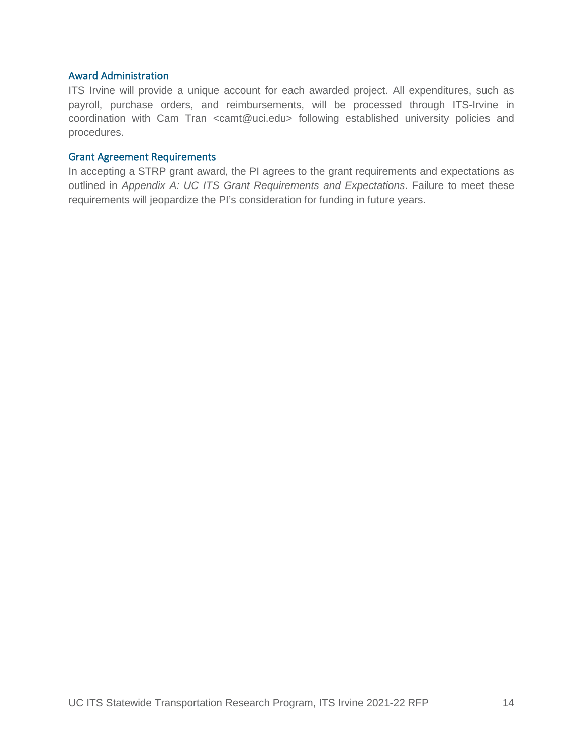#### Award Administration

ITS Irvine will provide a unique account for each awarded project. All expenditures, such as payroll, purchase orders, and reimbursements, will be processed through ITS-Irvine in coordination with Cam Tran <camt@uci.edu> following established university policies and procedures.

#### Grant Agreement Requirements

In accepting a STRP grant award, the PI agrees to the grant requirements and expectations as outlined in *Appendix A: UC ITS Grant Requirements and Expectations*. Failure to meet these requirements will jeopardize the PI's consideration for funding in future years.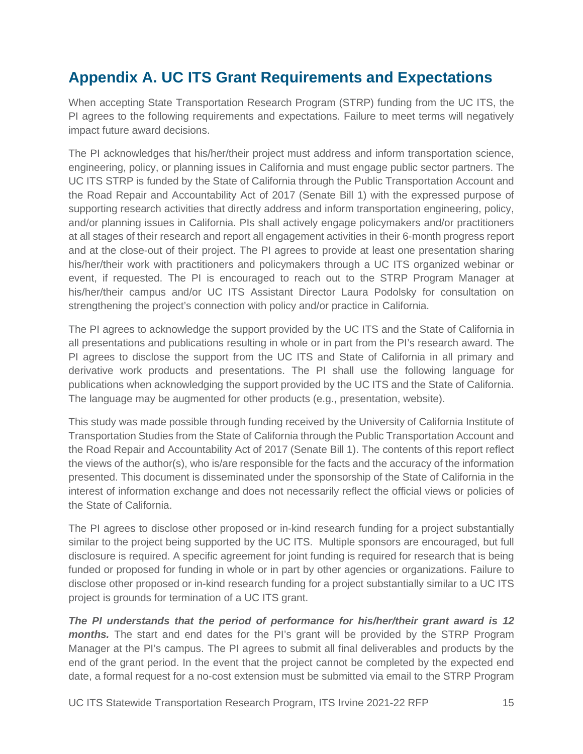# **Appendix A. UC ITS Grant Requirements and Expectations**

When accepting State Transportation Research Program (STRP) funding from the UC ITS, the PI agrees to the following requirements and expectations. Failure to meet terms will negatively impact future award decisions.

The PI acknowledges that his/her/their project must address and inform transportation science, engineering, policy, or planning issues in California and must engage public sector partners. The UC ITS STRP is funded by the State of California through the Public Transportation Account and the Road Repair and Accountability Act of 2017 (Senate Bill 1) with the expressed purpose of supporting research activities that directly address and inform transportation engineering, policy, and/or planning issues in California. PIs shall actively engage policymakers and/or practitioners at all stages of their research and report all engagement activities in their 6-month progress report and at the close-out of their project. The PI agrees to provide at least one presentation sharing his/her/their work with practitioners and policymakers through a UC ITS organized webinar or event, if requested. The PI is encouraged to reach out to the STRP Program Manager at his/her/their campus and/or UC ITS Assistant Director Laura Podolsky for consultation on strengthening the project's connection with policy and/or practice in California.

The PI agrees to acknowledge the support provided by the UC ITS and the State of California in all presentations and publications resulting in whole or in part from the PI's research award. The PI agrees to disclose the support from the UC ITS and State of California in all primary and derivative work products and presentations. The PI shall use the following language for publications when acknowledging the support provided by the UC ITS and the State of California. The language may be augmented for other products (e.g., presentation, website).

This study was made possible through funding received by the University of California Institute of Transportation Studies from the State of California through the Public Transportation Account and the Road Repair and Accountability Act of 2017 (Senate Bill 1). The contents of this report reflect the views of the author(s), who is/are responsible for the facts and the accuracy of the information presented. This document is disseminated under the sponsorship of the State of California in the interest of information exchange and does not necessarily reflect the official views or policies of the State of California.

The PI agrees to disclose other proposed or in-kind research funding for a project substantially similar to the project being supported by the UC ITS. Multiple sponsors are encouraged, but full disclosure is required. A specific agreement for joint funding is required for research that is being funded or proposed for funding in whole or in part by other agencies or organizations. Failure to disclose other proposed or in-kind research funding for a project substantially similar to a UC ITS project is grounds for termination of a UC ITS grant.

*The PI understands that the period of performance for his/her/their grant award is 12 months.* The start and end dates for the PI's grant will be provided by the STRP Program Manager at the PI's campus. The PI agrees to submit all final deliverables and products by the end of the grant period. In the event that the project cannot be completed by the expected end date, a formal request for a no-cost extension must be submitted via email to the STRP Program

UC ITS Statewide Transportation Research Program, ITS Irvine 2021-22 RFP 15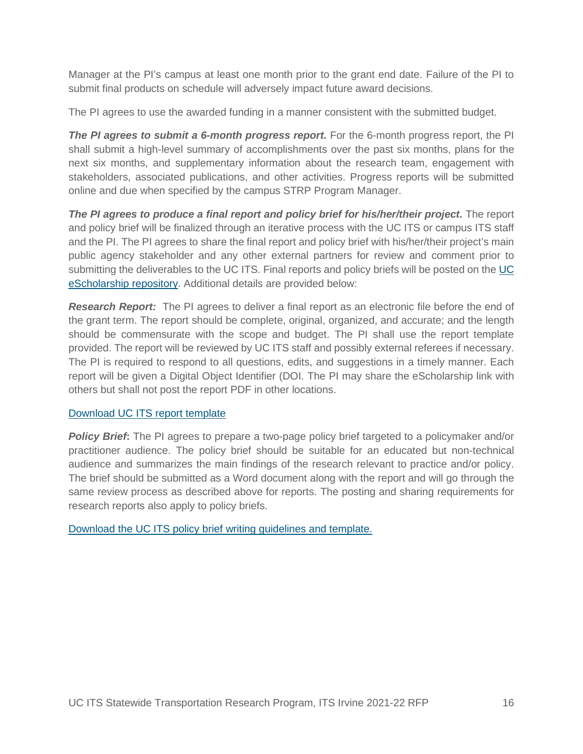Manager at the PI's campus at least one month prior to the grant end date. Failure of the PI to submit final products on schedule will adversely impact future award decisions.

The PI agrees to use the awarded funding in a manner consistent with the submitted budget.

**The PI agrees to submit a 6-month progress report.** For the 6-month progress report, the PI shall submit a high-level summary of accomplishments over the past six months, plans for the next six months, and supplementary information about the research team, engagement with stakeholders, associated publications, and other activities. Progress reports will be submitted online and due when specified by the campus STRP Program Manager.

*The PI agrees to produce a final report and policy brief for his/her/their project.* The report and policy brief will be finalized through an iterative process with the UC ITS or campus ITS staff and the PI. The PI agrees to share the final report and policy brief with his/her/their project's main public agency stakeholder and any other external partners for review and comment prior to submitting the deliverables to the UC ITS. Final reports and policy briefs will be posted on the UC eScholarship repository. Additional details are provided below:

**Research Report:** The PI agrees to deliver a final report as an electronic file before the end of the grant term. The report should be complete, original, organized, and accurate; and the length should be commensurate with the scope and budget. The PI shall use the report template provided. The report will be reviewed by UC ITS staff and possibly external referees if necessary. The PI is required to respond to all questions, edits, and suggestions in a timely manner. Each report will be given a Digital Object Identifier (DOI. The PI may share the eScholarship link with others but shall not post the report PDF in other locations.

#### Download UC ITS report template

**Policy Brief**: The PI agrees to prepare a two-page policy brief targeted to a policymaker and/or practitioner audience. The policy brief should be suitable for an educated but non-technical audience and summarizes the main findings of the research relevant to practice and/or policy. The brief should be submitted as a Word document along with the report and will go through the same review process as described above for reports. The posting and sharing requirements for research reports also apply to policy briefs.

Download the UC ITS policy brief writing guidelines and template.